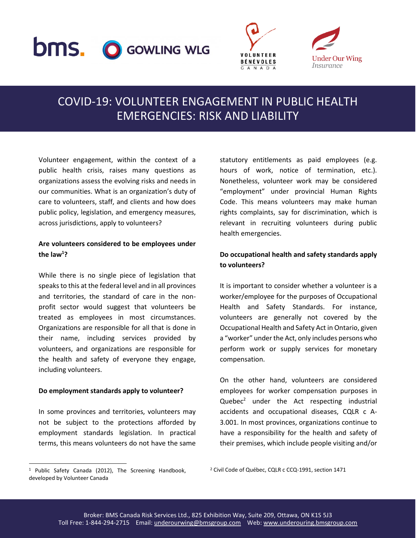# **bms.** O GOWLING WLG





## COVID-19: VOLUNTEER ENGAGEMENT IN PUBLIC HEALTH EMERGENCIES: RISK AND LIABILITY

Volunteer engagement, within the context of a public health crisis, raises many questions as organizations assess the evolving risks and needs in our communities. What is an organization's duty of care to volunteers, staff, and clients and how does public policy, legislation, and emergency measures, across jurisdictions, apply to volunteers?

#### **Are volunteers considered to be employees under the law<sup>1</sup> ?**

While there is no single piece of legislation that speaks to this at the federal level and in all provinces and territories, the standard of care in the nonprofit sector would suggest that volunteers be treated as employees in most circumstances. Organizations are responsible for all that is done in their name, including services provided by volunteers, and organizations are responsible for the health and safety of everyone they engage, including volunteers.

#### **Do employment standards apply to volunteer?**

In some provinces and territories, volunteers may not be subject to the protections afforded by employment standards legislation. In practical terms, this means volunteers do not have the same

statutory entitlements as paid employees (e.g. hours of work, notice of termination, etc.). Nonetheless, volunteer work may be considered "employment" under provincial Human Rights Code. This means volunteers may make human rights complaints, say for discrimination, which is relevant in recruiting volunteers during public health emergencies.

#### **Do occupational health and safety standards apply to volunteers?**

It is important to consider whether a volunteer is a worker/employee for the purposes of Occupational Health and Safety Standards. For instance, volunteers are generally not covered by the Occupational Health and Safety Act in Ontario, given a "worker" under the Act, only includes persons who perform work or supply services for monetary compensation.

On the other hand, volunteers are considered employees for worker compensation purposes in Quebec<sup>2</sup> under the Act respecting industrial accidents and occupational diseases, CQLR c A-3.001. In most provinces, organizations continue to have a responsibility for the health and safety of their premises, which include people visiting and/or

 $\overline{a}$ 

<sup>1</sup> Public Safety Canada (2012), The Screening Handbook, developed by Volunteer Canada

<sup>2</sup> Civil Code of Québec, CQLR c CCQ-1991, section 1471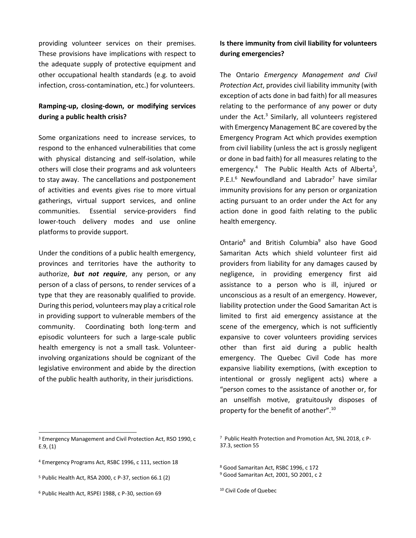providing volunteer services on their premises. These provisions have implications with respect to the adequate supply of protective equipment and other occupational health standards (e.g. to avoid infection, cross-contamination, etc.) for volunteers.

#### **Ramping-up, closing-down, or modifying services during a public health crisis?**

Some organizations need to increase services, to respond to the enhanced vulnerabilities that come with physical distancing and self-isolation, while others will close their programs and ask volunteers to stay away. The cancellations and postponement of activities and events gives rise to more virtual gatherings, virtual support services, and online communities. Essential service-providers find lower-touch delivery modes and use online platforms to provide support.

Under the conditions of a public health emergency, provinces and territories have the authority to authorize, *but not require*, any person, or any person of a class of persons, to render services of a type that they are reasonably qualified to provide. During this period, volunteers may play a critical role in providing support to vulnerable members of the community. Coordinating both long-term and episodic volunteers for such a large-scale public health emergency is not a small task. Volunteerinvolving organizations should be cognizant of the legislative environment and abide by the direction of the public health authority, in their jurisdictions.

#### **Is there immunity from civil liability for volunteers during emergencies?**

The Ontario *Emergency Management and Civil Protection Act*, provides civil liability immunity (with exception of acts done in bad faith) for all measures relating to the performance of any power or duty under the Act.<sup>3</sup> Similarly, all volunteers registered with Emergency Management BC are covered by the Emergency Program Act which provides exemption from civil liability (unless the act is grossly negligent or done in bad faith) for all measures relating to the emergency.<sup>4</sup> The Public Health Acts of Alberta<sup>5</sup>, P.E.I.<sup>6</sup> Newfoundland and Labrador<sup>7</sup> have similar immunity provisions for any person or organization acting pursuant to an order under the Act for any action done in good faith relating to the public health emergency.

Ontario<sup>8</sup> and British Columbia<sup>9</sup> also have Good Samaritan Acts which shield volunteer first aid providers from liability for any damages caused by negligence, in providing emergency first aid assistance to a person who is ill, injured or unconscious as a result of an emergency. However, liability protection under the Good Samaritan Act is limited to first aid emergency assistance at the scene of the emergency, which is not sufficiently expansive to cover volunteers providing services other than first aid during a public health emergency. The Quebec Civil Code has more expansive liability exemptions, (with exception to intentional or grossly negligent acts) where a "person comes to the assistance of another or, for an unselfish motive, gratuitously disposes of property for the benefit of another".<sup>10</sup>

- <sup>5</sup> Public Health Act, RSA 2000, c P-37, section 66.1 (2)
- <sup>6</sup> Public Health Act, RSPEI 1988, c P-30, section 69

 $\overline{a}$ 

<sup>3</sup> Emergency Management and Civil Protection Act, RSO 1990, c E.9, (1)

<sup>4</sup> Emergency Programs Act, RSBC 1996, c 111, section 18

<sup>7</sup> Public Health Protection and Promotion Act, SNL 2018, c P-37.3, section 55

<sup>8</sup> Good Samaritan Act, RSBC 1996, c 172

<sup>9</sup> Good Samaritan Act, 2001, SO 2001, c 2

<sup>10</sup> Civil Code of Quebec